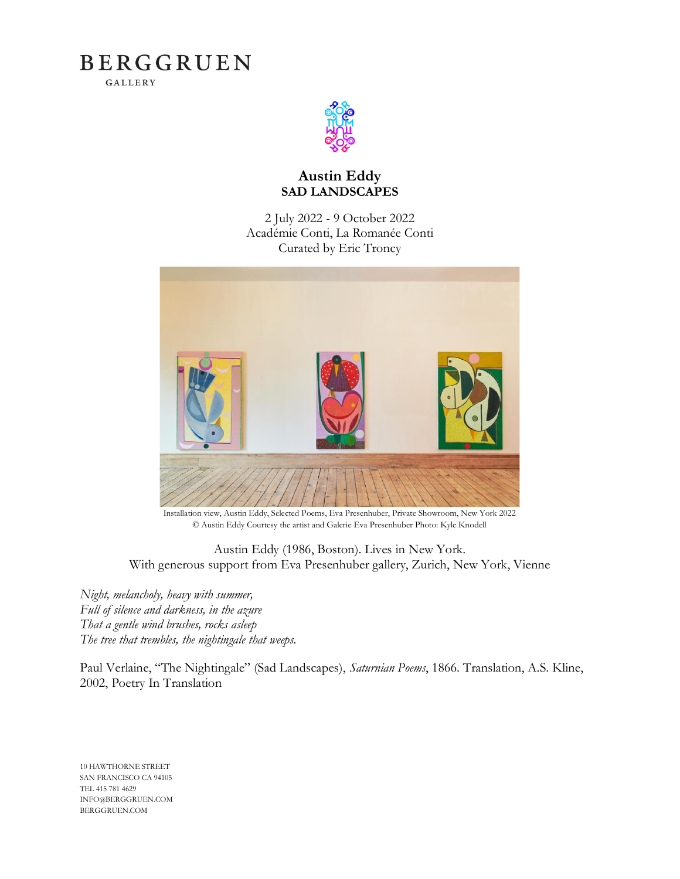## **BERGGRUEN**

**GALLERY** 



## **Austin Eddy SAD LANDSCAPES**

2 July 2022 - 9 October 2022 Académie Conti, La Romanée Conti Curated by Eric Troncy



Installation view, Austin Eddy, Selected Poems, Eva Presenhuber, Private Showroom, New York 2022 © Austin Eddy Courtesy the artist and Galerie Eva Presenhuber Photo: Kyle Knodell

Austin Eddy (1986, Boston). Lives in New York. With generous support from Eva Presenhuber gallery, Zurich, New York, Vienne

*Night, melancholy, heavy with summer, Full of silence and darkness, in the azure That a gentle wind brushes, rocks asleep The tree that trembles, the nightingale that weeps.*

Paul Verlaine, "The Nightingale" (Sad Landscapes), *Saturnian Poems*, 1866. Translation, A.S. Kline, 2002, Poetry In Translation

10 HAWTHORNE STREET SAN FRANCISCO CA 94105 TEL 415 781 4629 INFO@BERGGRUEN.COM BERGGRUEN.COM